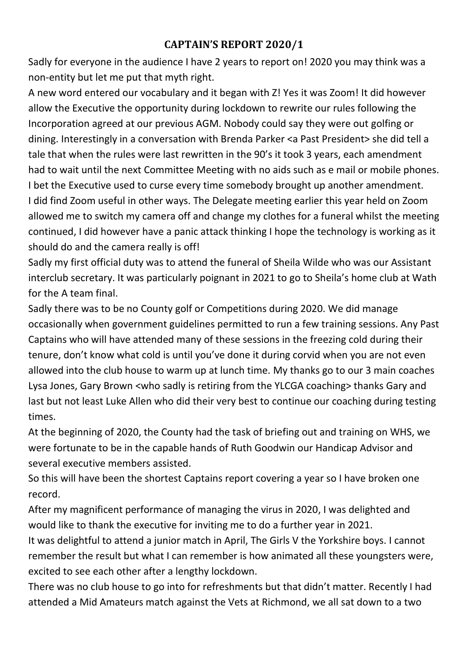## **CAPTAIN'S REPORT 2020/1**

Sadly for everyone in the audience I have 2 years to report on! 2020 you may think was a non-entity but let me put that myth right.

A new word entered our vocabulary and it began with Z! Yes it was Zoom! It did however allow the Executive the opportunity during lockdown to rewrite our rules following the Incorporation agreed at our previous AGM. Nobody could say they were out golfing or dining. Interestingly in a conversation with Brenda Parker <a Past President> she did tell a tale that when the rules were last rewritten in the 90's it took 3 years, each amendment had to wait until the next Committee Meeting with no aids such as e mail or mobile phones. I bet the Executive used to curse every time somebody brought up another amendment. I did find Zoom useful in other ways. The Delegate meeting earlier this year held on Zoom allowed me to switch my camera off and change my clothes for a funeral whilst the meeting continued, I did however have a panic attack thinking I hope the technology is working as it should do and the camera really is off!

Sadly my first official duty was to attend the funeral of Sheila Wilde who was our Assistant interclub secretary. It was particularly poignant in 2021 to go to Sheila's home club at Wath for the A team final.

Sadly there was to be no County golf or Competitions during 2020. We did manage occasionally when government guidelines permitted to run a few training sessions. Any Past Captains who will have attended many of these sessions in the freezing cold during their tenure, don't know what cold is until you've done it during corvid when you are not even allowed into the club house to warm up at lunch time. My thanks go to our 3 main coaches Lysa Jones, Gary Brown <who sadly is retiring from the YLCGA coaching> thanks Gary and last but not least Luke Allen who did their very best to continue our coaching during testing times.

At the beginning of 2020, the County had the task of briefing out and training on WHS, we were fortunate to be in the capable hands of Ruth Goodwin our Handicap Advisor and several executive members assisted.

So this will have been the shortest Captains report covering a year so I have broken one record.

After my magnificent performance of managing the virus in 2020, I was delighted and would like to thank the executive for inviting me to do a further year in 2021.

It was delightful to attend a junior match in April, The Girls V the Yorkshire boys. I cannot remember the result but what I can remember is how animated all these youngsters were, excited to see each other after a lengthy lockdown.

There was no club house to go into for refreshments but that didn't matter. Recently I had attended a Mid Amateurs match against the Vets at Richmond, we all sat down to a two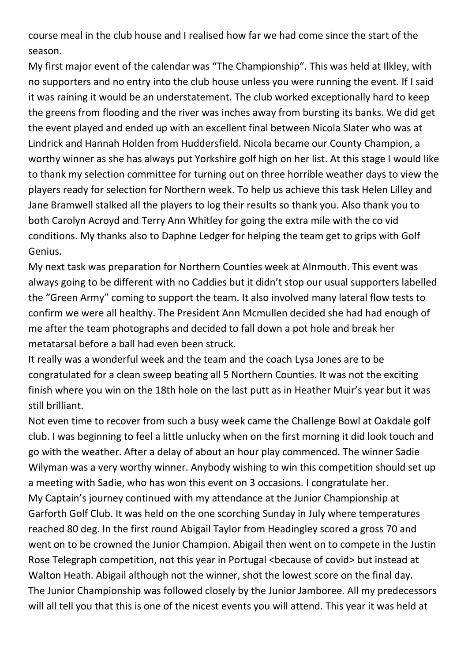course meal in the club house and I realised how far we had come since the start of the season.

My first major event of the calendar was "The Championship". This was held at Ilkley, with no supporters and no entry into the club house unless you were running the event. If I said it was raining it would be an understatement. The club worked exceptionally hard to keep the greens from flooding and the river was inches away from bursting its banks. We did get the event played and ended up with an excellent final between Nicola Slater who was at Lindrick and Hannah Holden from Huddersfield. Nicola became our County Champion, a worthy winner as she has always put Yorkshire golf high on her list. At this stage I would like to thank my selection committee for turning out on three horrible weather days to view the players ready for selection for Northern week. To help us achieve this task Helen Lilley and Jane Bramwell stalked all the players to log their results so thank you. Also thank you to both Carolyn Acroyd and Terry Ann Whitley for going the extra mile with the co vid conditions. My thanks also to Daphne Ledger for helping the team get to grips with Golf Genius.

My next task was preparation for Northern Counties week at Alnmouth. This event was always going to be different with no Caddies but it didn't stop our usual supporters labelled the "Green Army" coming to support the team. It also involved many lateral flow tests to confirm we were all healthy. The President Ann Mcmullen decided she had had enough of me after the team photographs and decided to fall down a pot hole and break her metatarsal before a ball had even been struck.

It really was a wonderful week and the team and the coach Lysa Jones are to be congratulated for a clean sweep beating all 5 Northern Counties. It was not the exciting finish where you win on the 18th hole on the last putt as in Heather Muir's year but it was still brilliant.

Not even time to recover from such a busy week came the Challenge Bowl at Oakdale golf club. I was beginning to feel a little unlucky when on the first morning it did look touch and go with the weather. After a delay of about an hour play commenced. The winner Sadie Wilyman was a very worthy winner. Anybody wishing to win this competition should set up a meeting with Sadie, who has won this event on 3 occasions. I congratulate her. My Captain's journey continued with my attendance at the Junior Championship at Garforth Golf Club. It was held on the one scorching Sunday in July where temperatures reached 80 deg. In the first round Abigail Taylor from Headingley scored a gross 70 and went on to be crowned the Junior Champion. Abigail then went on to compete in the Justin Rose Telegraph competition, not this year in Portugal <br/>because of covid> but instead at Walton Heath. Abigail although not the winner, shot the lowest score on the final day. The Junior Championship was followed closely by the Junior Jamboree. All my predecessors will all tell you that this is one of the nicest events you will attend. This year it was held at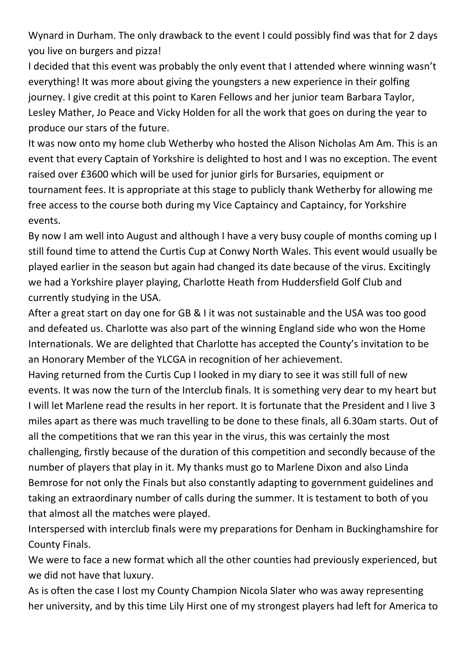Wynard in Durham. The only drawback to the event I could possibly find was that for 2 days you live on burgers and pizza!

I decided that this event was probably the only event that I attended where winning wasn't everything! It was more about giving the youngsters a new experience in their golfing journey. I give credit at this point to Karen Fellows and her junior team Barbara Taylor, Lesley Mather, Jo Peace and Vicky Holden for all the work that goes on during the year to produce our stars of the future.

It was now onto my home club Wetherby who hosted the Alison Nicholas Am Am. This is an event that every Captain of Yorkshire is delighted to host and I was no exception. The event raised over £3600 which will be used for junior girls for Bursaries, equipment or tournament fees. It is appropriate at this stage to publicly thank Wetherby for allowing me free access to the course both during my Vice Captaincy and Captaincy, for Yorkshire events.

By now I am well into August and although I have a very busy couple of months coming up I still found time to attend the Curtis Cup at Conwy North Wales. This event would usually be played earlier in the season but again had changed its date because of the virus. Excitingly we had a Yorkshire player playing, Charlotte Heath from Huddersfield Golf Club and currently studying in the USA.

After a great start on day one for GB & I it was not sustainable and the USA was too good and defeated us. Charlotte was also part of the winning England side who won the Home Internationals. We are delighted that Charlotte has accepted the County's invitation to be an Honorary Member of the YLCGA in recognition of her achievement.

Having returned from the Curtis Cup I looked in my diary to see it was still full of new events. It was now the turn of the Interclub finals. It is something very dear to my heart but I will let Marlene read the results in her report. It is fortunate that the President and I live 3 miles apart as there was much travelling to be done to these finals, all 6.30am starts. Out of all the competitions that we ran this year in the virus, this was certainly the most challenging, firstly because of the duration of this competition and secondly because of the number of players that play in it. My thanks must go to Marlene Dixon and also Linda

Bemrose for not only the Finals but also constantly adapting to government guidelines and taking an extraordinary number of calls during the summer. It is testament to both of you that almost all the matches were played.

Interspersed with interclub finals were my preparations for Denham in Buckinghamshire for County Finals.

We were to face a new format which all the other counties had previously experienced, but we did not have that luxury.

As is often the case I lost my County Champion Nicola Slater who was away representing her university, and by this time Lily Hirst one of my strongest players had left for America to